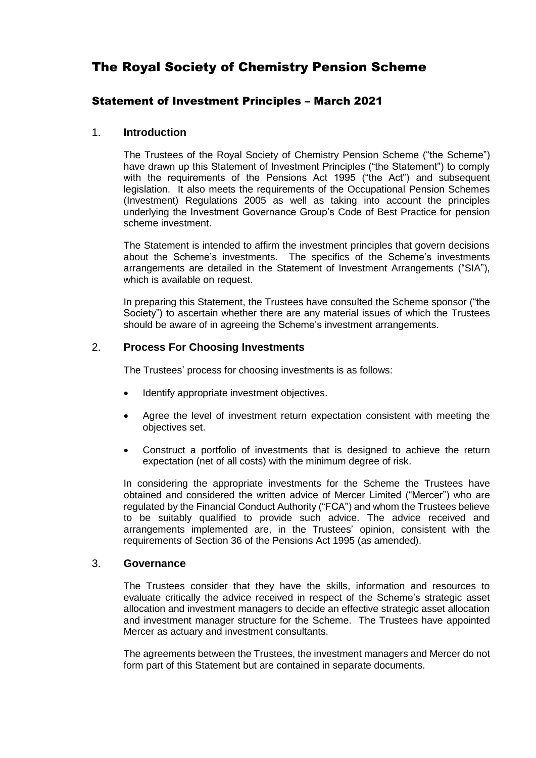# The Royal Society of Chemistry Pension Scheme

# Statement of Investment Principles – March 2021

## 1. **Introduction**

The Trustees of the Royal Society of Chemistry Pension Scheme ("the Scheme") have drawn up this Statement of Investment Principles ("the Statement") to comply with the requirements of the Pensions Act 1995 ("the Act") and subsequent legislation. It also meets the requirements of the Occupational Pension Schemes (Investment) Regulations 2005 as well as taking into account the principles underlying the Investment Governance Group's Code of Best Practice for pension scheme investment.

The Statement is intended to affirm the investment principles that govern decisions about the Scheme's investments. The specifics of the Scheme's investments arrangements are detailed in the Statement of Investment Arrangements ("SIA"), which is available on request.

In preparing this Statement, the Trustees have consulted the Scheme sponsor ("the Society") to ascertain whether there are any material issues of which the Trustees should be aware of in agreeing the Scheme's investment arrangements.

# 2. **Process For Choosing Investments**

The Trustees' process for choosing investments is as follows:

- Identify appropriate investment objectives.
- Agree the level of investment return expectation consistent with meeting the objectives set.
- Construct a portfolio of investments that is designed to achieve the return expectation (net of all costs) with the minimum degree of risk.

In considering the appropriate investments for the Scheme the Trustees have obtained and considered the written advice of Mercer Limited ("Mercer") who are regulated by the Financial Conduct Authority ("FCA") and whom the Trustees believe to be suitably qualified to provide such advice. The advice received and arrangements implemented are, in the Trustees' opinion, consistent with the requirements of Section 36 of the Pensions Act 1995 (as amended).

## 3. **Governance**

The Trustees consider that they have the skills, information and resources to evaluate critically the advice received in respect of the Scheme's strategic asset allocation and investment managers to decide an effective strategic asset allocation and investment manager structure for the Scheme. The Trustees have appointed Mercer as actuary and investment consultants.

The agreements between the Trustees, the investment managers and Mercer do not form part of this Statement but are contained in separate documents.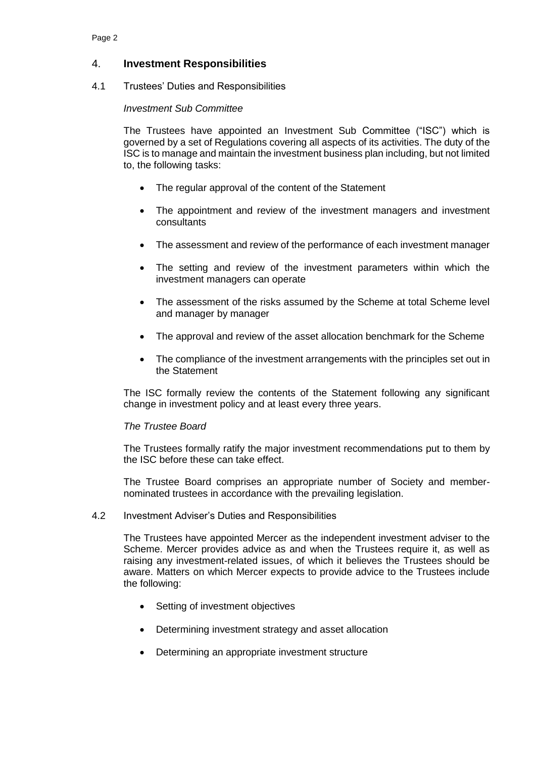# 4. **Investment Responsibilities**

### 4.1 Trustees' Duties and Responsibilities

### *Investment Sub Committee*

The Trustees have appointed an Investment Sub Committee ("ISC") which is governed by a set of Regulations covering all aspects of its activities. The duty of the ISC is to manage and maintain the investment business plan including, but not limited to, the following tasks:

- The regular approval of the content of the Statement
- The appointment and review of the investment managers and investment consultants
- The assessment and review of the performance of each investment manager
- The setting and review of the investment parameters within which the investment managers can operate
- The assessment of the risks assumed by the Scheme at total Scheme level and manager by manager
- The approval and review of the asset allocation benchmark for the Scheme
- The compliance of the investment arrangements with the principles set out in the Statement

The ISC formally review the contents of the Statement following any significant change in investment policy and at least every three years.

#### *The Trustee Board*

The Trustees formally ratify the major investment recommendations put to them by the ISC before these can take effect.

The Trustee Board comprises an appropriate number of Society and membernominated trustees in accordance with the prevailing legislation.

#### 4.2 Investment Adviser's Duties and Responsibilities

The Trustees have appointed Mercer as the independent investment adviser to the Scheme. Mercer provides advice as and when the Trustees require it, as well as raising any investment-related issues, of which it believes the Trustees should be aware. Matters on which Mercer expects to provide advice to the Trustees include the following:

- Setting of investment objectives
- Determining investment strategy and asset allocation
- Determining an appropriate investment structure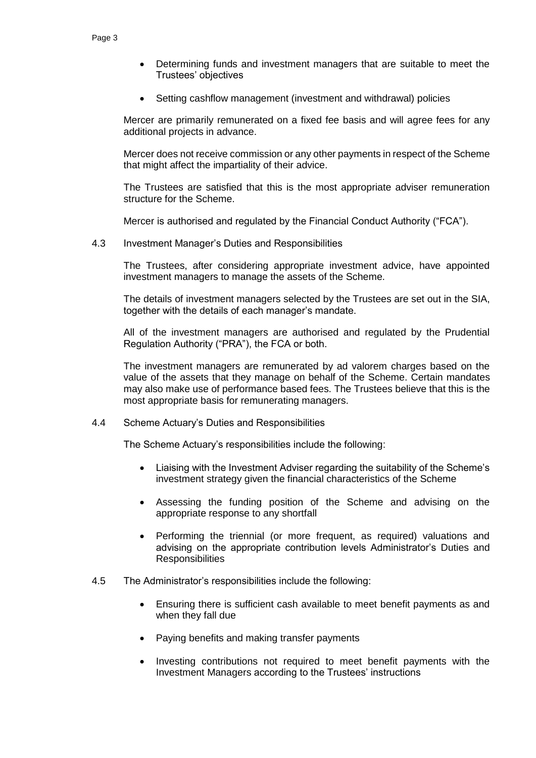- Determining funds and investment managers that are suitable to meet the Trustees' objectives
- Setting cashflow management (investment and withdrawal) policies

Mercer are primarily remunerated on a fixed fee basis and will agree fees for any additional projects in advance.

Mercer does not receive commission or any other payments in respect of the Scheme that might affect the impartiality of their advice.

The Trustees are satisfied that this is the most appropriate adviser remuneration structure for the Scheme.

Mercer is authorised and regulated by the Financial Conduct Authority ("FCA").

4.3 Investment Manager's Duties and Responsibilities

The Trustees, after considering appropriate investment advice, have appointed investment managers to manage the assets of the Scheme.

The details of investment managers selected by the Trustees are set out in the SIA, together with the details of each manager's mandate.

All of the investment managers are authorised and regulated by the Prudential Regulation Authority ("PRA"), the FCA or both.

The investment managers are remunerated by ad valorem charges based on the value of the assets that they manage on behalf of the Scheme. Certain mandates may also make use of performance based fees. The Trustees believe that this is the most appropriate basis for remunerating managers.

4.4 Scheme Actuary's Duties and Responsibilities

The Scheme Actuary's responsibilities include the following:

- Liaising with the Investment Adviser regarding the suitability of the Scheme's investment strategy given the financial characteristics of the Scheme
- Assessing the funding position of the Scheme and advising on the appropriate response to any shortfall
- Performing the triennial (or more frequent, as required) valuations and advising on the appropriate contribution levels Administrator's Duties and **Responsibilities**
- 4.5 The Administrator's responsibilities include the following:
	- Ensuring there is sufficient cash available to meet benefit payments as and when they fall due
	- Paying benefits and making transfer payments
	- Investing contributions not required to meet benefit payments with the Investment Managers according to the Trustees' instructions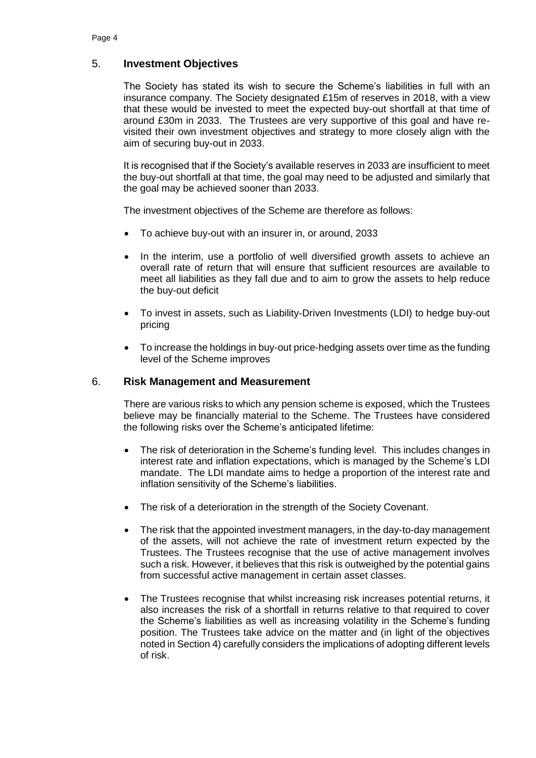# 5. **Investment Objectives**

The Society has stated its wish to secure the Scheme's liabilities in full with an insurance company. The Society designated £15m of reserves in 2018, with a view that these would be invested to meet the expected buy-out shortfall at that time of around £30m in 2033. The Trustees are very supportive of this goal and have revisited their own investment objectives and strategy to more closely align with the aim of securing buy-out in 2033.

It is recognised that if the Society's available reserves in 2033 are insufficient to meet the buy-out shortfall at that time, the goal may need to be adjusted and similarly that the goal may be achieved sooner than 2033.

The investment objectives of the Scheme are therefore as follows:

- To achieve buy-out with an insurer in, or around, 2033
- In the interim, use a portfolio of well diversified growth assets to achieve an overall rate of return that will ensure that sufficient resources are available to meet all liabilities as they fall due and to aim to grow the assets to help reduce the buy-out deficit
- To invest in assets, such as Liability-Driven Investments (LDI) to hedge buy-out pricing
- To increase the holdings in buy-out price-hedging assets over time as the funding level of the Scheme improves

### 6. **Risk Management and Measurement**

There are various risks to which any pension scheme is exposed, which the Trustees believe may be financially material to the Scheme. The Trustees have considered the following risks over the Scheme's anticipated lifetime:

- The risk of deterioration in the Scheme's funding level. This includes changes in interest rate and inflation expectations, which is managed by the Scheme's LDI mandate. The LDI mandate aims to hedge a proportion of the interest rate and inflation sensitivity of the Scheme's liabilities.
- The risk of a deterioration in the strength of the Society Covenant.
- The risk that the appointed investment managers, in the day-to-day management of the assets, will not achieve the rate of investment return expected by the Trustees. The Trustees recognise that the use of active management involves such a risk. However, it believes that this risk is outweighed by the potential gains from successful active management in certain asset classes.
- The Trustees recognise that whilst increasing risk increases potential returns, it also increases the risk of a shortfall in returns relative to that required to cover the Scheme's liabilities as well as increasing volatility in the Scheme's funding position. The Trustees take advice on the matter and (in light of the objectives noted in Section 4) carefully considers the implications of adopting different levels of risk.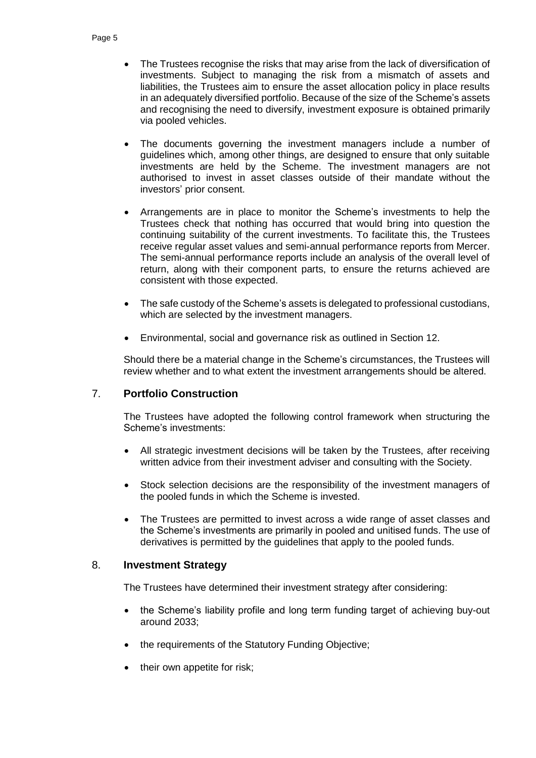- The Trustees recognise the risks that may arise from the lack of diversification of investments. Subject to managing the risk from a mismatch of assets and liabilities, the Trustees aim to ensure the asset allocation policy in place results in an adequately diversified portfolio. Because of the size of the Scheme's assets and recognising the need to diversify, investment exposure is obtained primarily via pooled vehicles.
- The documents governing the investment managers include a number of guidelines which, among other things, are designed to ensure that only suitable investments are held by the Scheme. The investment managers are not authorised to invest in asset classes outside of their mandate without the investors' prior consent.
- Arrangements are in place to monitor the Scheme's investments to help the Trustees check that nothing has occurred that would bring into question the continuing suitability of the current investments. To facilitate this, the Trustees receive regular asset values and semi-annual performance reports from Mercer. The semi-annual performance reports include an analysis of the overall level of return, along with their component parts, to ensure the returns achieved are consistent with those expected.
- The safe custody of the Scheme's assets is delegated to professional custodians, which are selected by the investment managers.
- Environmental, social and governance risk as outlined in Section 12.

Should there be a material change in the Scheme's circumstances, the Trustees will review whether and to what extent the investment arrangements should be altered.

# 7. **Portfolio Construction**

The Trustees have adopted the following control framework when structuring the Scheme's investments:

- All strategic investment decisions will be taken by the Trustees, after receiving written advice from their investment adviser and consulting with the Society.
- Stock selection decisions are the responsibility of the investment managers of the pooled funds in which the Scheme is invested.
- The Trustees are permitted to invest across a wide range of asset classes and the Scheme's investments are primarily in pooled and unitised funds. The use of derivatives is permitted by the guidelines that apply to the pooled funds.

## 8. **Investment Strategy**

The Trustees have determined their investment strategy after considering:

- the Scheme's liability profile and long term funding target of achieving buy-out around 2033;
- the requirements of the Statutory Funding Objective;
- their own appetite for risk;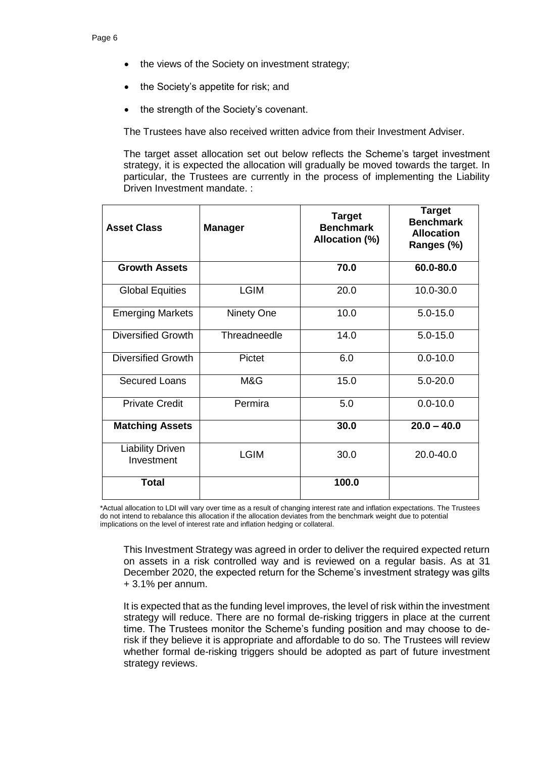- the views of the Society on investment strategy;
- the Society's appetite for risk; and
- the strength of the Society's covenant.

The Trustees have also received written advice from their Investment Adviser.

The target asset allocation set out below reflects the Scheme's target investment strategy, it is expected the allocation will gradually be moved towards the target. In particular, the Trustees are currently in the process of implementing the Liability Driven Investment mandate. :

| <b>Asset Class</b>                    | <b>Manager</b> | <b>Target</b><br><b>Benchmark</b><br>Allocation (%) | <b>Target</b><br><b>Benchmark</b><br><b>Allocation</b><br>Ranges (%) |
|---------------------------------------|----------------|-----------------------------------------------------|----------------------------------------------------------------------|
| <b>Growth Assets</b>                  |                | 70.0                                                | 60.0-80.0                                                            |
| <b>Global Equities</b>                | <b>LGIM</b>    | 20.0                                                | 10.0-30.0                                                            |
| <b>Emerging Markets</b>               | Ninety One     | 10.0                                                | $5.0 - 15.0$                                                         |
| <b>Diversified Growth</b>             | Threadneedle   | 14.0                                                | $5.0 - 15.0$                                                         |
| <b>Diversified Growth</b>             | Pictet         | 6.0                                                 | $0.0 - 10.0$                                                         |
| <b>Secured Loans</b>                  | M&G            | 15.0                                                | $5.0 - 20.0$                                                         |
| <b>Private Credit</b>                 | Permira        | 5.0                                                 | $0.0 - 10.0$                                                         |
| <b>Matching Assets</b>                |                | 30.0                                                | $20.0 - 40.0$                                                        |
| <b>Liability Driven</b><br>Investment | <b>LGIM</b>    | 30.0<br>20.0-40.0                                   |                                                                      |
| <b>Total</b>                          |                | 100.0                                               |                                                                      |

\*Actual allocation to LDI will vary over time as a result of changing interest rate and inflation expectations. The Trustees do not intend to rebalance this allocation if the allocation deviates from the benchmark weight due to potential implications on the level of interest rate and inflation hedging or collateral.

This Investment Strategy was agreed in order to deliver the required expected return on assets in a risk controlled way and is reviewed on a regular basis. As at 31 December 2020, the expected return for the Scheme's investment strategy was gilts + 3.1% per annum.

It is expected that as the funding level improves, the level of risk within the investment strategy will reduce. There are no formal de-risking triggers in place at the current time. The Trustees monitor the Scheme's funding position and may choose to derisk if they believe it is appropriate and affordable to do so. The Trustees will review whether formal de-risking triggers should be adopted as part of future investment strategy reviews.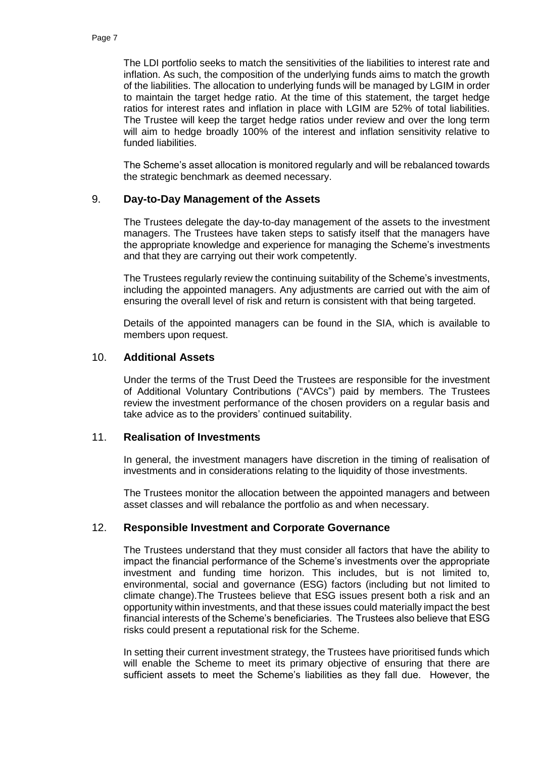The LDI portfolio seeks to match the sensitivities of the liabilities to interest rate and inflation. As such, the composition of the underlying funds aims to match the growth of the liabilities. The allocation to underlying funds will be managed by LGIM in order to maintain the target hedge ratio. At the time of this statement, the target hedge ratios for interest rates and inflation in place with LGIM are 52% of total liabilities. The Trustee will keep the target hedge ratios under review and over the long term will aim to hedge broadly 100% of the interest and inflation sensitivity relative to funded liabilities.

The Scheme's asset allocation is monitored regularly and will be rebalanced towards the strategic benchmark as deemed necessary.

### 9. **Day-to-Day Management of the Assets**

The Trustees delegate the day-to-day management of the assets to the investment managers. The Trustees have taken steps to satisfy itself that the managers have the appropriate knowledge and experience for managing the Scheme's investments and that they are carrying out their work competently.

The Trustees regularly review the continuing suitability of the Scheme's investments, including the appointed managers. Any adjustments are carried out with the aim of ensuring the overall level of risk and return is consistent with that being targeted.

Details of the appointed managers can be found in the SIA, which is available to members upon request.

### 10. **Additional Assets**

Under the terms of the Trust Deed the Trustees are responsible for the investment of Additional Voluntary Contributions ("AVCs") paid by members. The Trustees review the investment performance of the chosen providers on a regular basis and take advice as to the providers' continued suitability.

#### 11. **Realisation of Investments**

In general, the investment managers have discretion in the timing of realisation of investments and in considerations relating to the liquidity of those investments.

The Trustees monitor the allocation between the appointed managers and between asset classes and will rebalance the portfolio as and when necessary.

### 12. **Responsible Investment and Corporate Governance**

The Trustees understand that they must consider all factors that have the ability to impact the financial performance of the Scheme's investments over the appropriate investment and funding time horizon. This includes, but is not limited to, environmental, social and governance (ESG) factors (including but not limited to climate change).The Trustees believe that ESG issues present both a risk and an opportunity within investments, and that these issues could materially impact the best financial interests of the Scheme's beneficiaries. The Trustees also believe that ESG risks could present a reputational risk for the Scheme.

In setting their current investment strategy, the Trustees have prioritised funds which will enable the Scheme to meet its primary objective of ensuring that there are sufficient assets to meet the Scheme's liabilities as they fall due. However, the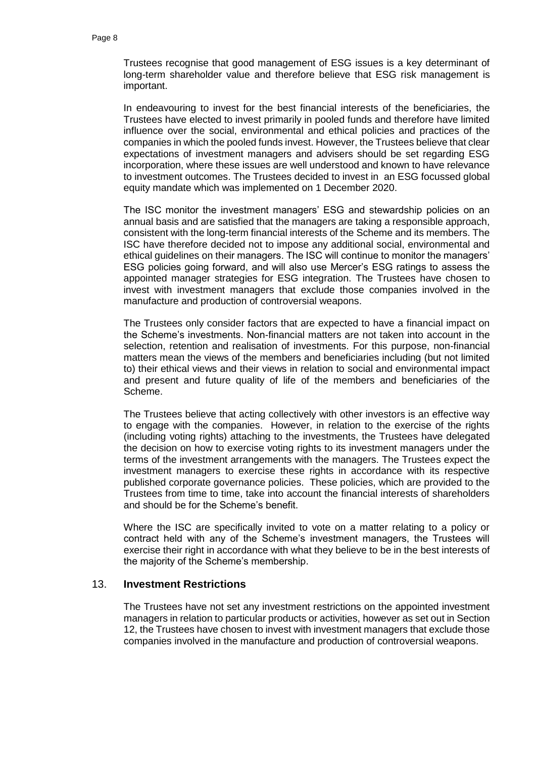Trustees recognise that good management of ESG issues is a key determinant of long-term shareholder value and therefore believe that ESG risk management is important.

In endeavouring to invest for the best financial interests of the beneficiaries, the Trustees have elected to invest primarily in pooled funds and therefore have limited influence over the social, environmental and ethical policies and practices of the companies in which the pooled funds invest. However, the Trustees believe that clear expectations of investment managers and advisers should be set regarding ESG incorporation, where these issues are well understood and known to have relevance to investment outcomes. The Trustees decided to invest in an ESG focussed global equity mandate which was implemented on 1 December 2020.

The ISC monitor the investment managers' ESG and stewardship policies on an annual basis and are satisfied that the managers are taking a responsible approach, consistent with the long-term financial interests of the Scheme and its members. The ISC have therefore decided not to impose any additional social, environmental and ethical guidelines on their managers. The ISC will continue to monitor the managers' ESG policies going forward, and will also use Mercer's ESG ratings to assess the appointed manager strategies for ESG integration. The Trustees have chosen to invest with investment managers that exclude those companies involved in the manufacture and production of controversial weapons.

The Trustees only consider factors that are expected to have a financial impact on the Scheme's investments. Non-financial matters are not taken into account in the selection, retention and realisation of investments. For this purpose, non-financial matters mean the views of the members and beneficiaries including (but not limited to) their ethical views and their views in relation to social and environmental impact and present and future quality of life of the members and beneficiaries of the Scheme.

The Trustees believe that acting collectively with other investors is an effective way to engage with the companies. However, in relation to the exercise of the rights (including voting rights) attaching to the investments, the Trustees have delegated the decision on how to exercise voting rights to its investment managers under the terms of the investment arrangements with the managers. The Trustees expect the investment managers to exercise these rights in accordance with its respective published corporate governance policies. These policies, which are provided to the Trustees from time to time, take into account the financial interests of shareholders and should be for the Scheme's benefit.

Where the ISC are specifically invited to vote on a matter relating to a policy or contract held with any of the Scheme's investment managers, the Trustees will exercise their right in accordance with what they believe to be in the best interests of the majority of the Scheme's membership.

#### 13. **Investment Restrictions**

The Trustees have not set any investment restrictions on the appointed investment managers in relation to particular products or activities, however as set out in Section 12, the Trustees have chosen to invest with investment managers that exclude those companies involved in the manufacture and production of controversial weapons.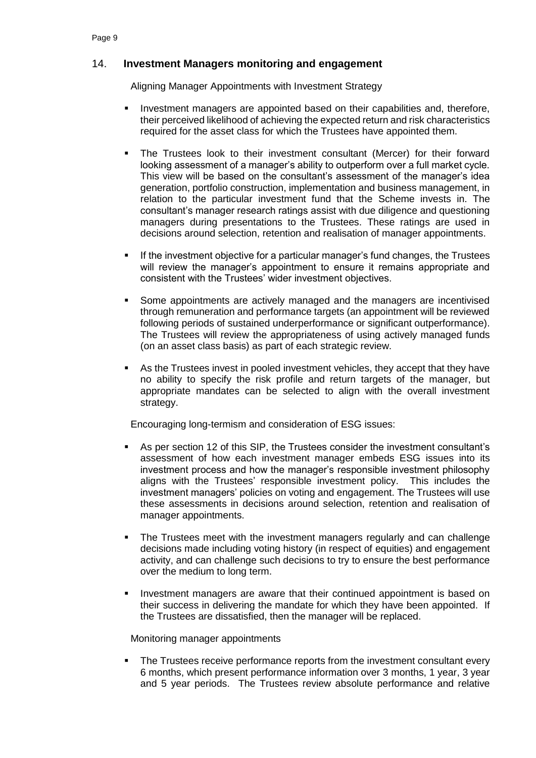# 14. **Investment Managers monitoring and engagement**

Aligning Manager Appointments with Investment Strategy

- **Investment managers are appointed based on their capabilities and, therefore,** their perceived likelihood of achieving the expected return and risk characteristics required for the asset class for which the Trustees have appointed them.
- The Trustees look to their investment consultant (Mercer) for their forward looking assessment of a manager's ability to outperform over a full market cycle. This view will be based on the consultant's assessment of the manager's idea generation, portfolio construction, implementation and business management, in relation to the particular investment fund that the Scheme invests in. The consultant's manager research ratings assist with due diligence and questioning managers during presentations to the Trustees. These ratings are used in decisions around selection, retention and realisation of manager appointments.
- If the investment objective for a particular manager's fund changes, the Trustees will review the manager's appointment to ensure it remains appropriate and consistent with the Trustees' wider investment objectives.
- **Some appointments are actively managed and the managers are incentivised** through remuneration and performance targets (an appointment will be reviewed following periods of sustained underperformance or significant outperformance). The Trustees will review the appropriateness of using actively managed funds (on an asset class basis) as part of each strategic review.
- As the Trustees invest in pooled investment vehicles, they accept that they have no ability to specify the risk profile and return targets of the manager, but appropriate mandates can be selected to align with the overall investment strategy.

Encouraging long-termism and consideration of ESG issues:

- As per section 12 of this SIP, the Trustees consider the investment consultant's assessment of how each investment manager embeds ESG issues into its investment process and how the manager's responsible investment philosophy aligns with the Trustees' responsible investment policy. This includes the investment managers' policies on voting and engagement. The Trustees will use these assessments in decisions around selection, retention and realisation of manager appointments.
- The Trustees meet with the investment managers regularly and can challenge decisions made including voting history (in respect of equities) and engagement activity, and can challenge such decisions to try to ensure the best performance over the medium to long term.
- Investment managers are aware that their continued appointment is based on their success in delivering the mandate for which they have been appointed. If the Trustees are dissatisfied, then the manager will be replaced.

#### Monitoring manager appointments

 The Trustees receive performance reports from the investment consultant every 6 months, which present performance information over 3 months, 1 year, 3 year and 5 year periods. The Trustees review absolute performance and relative